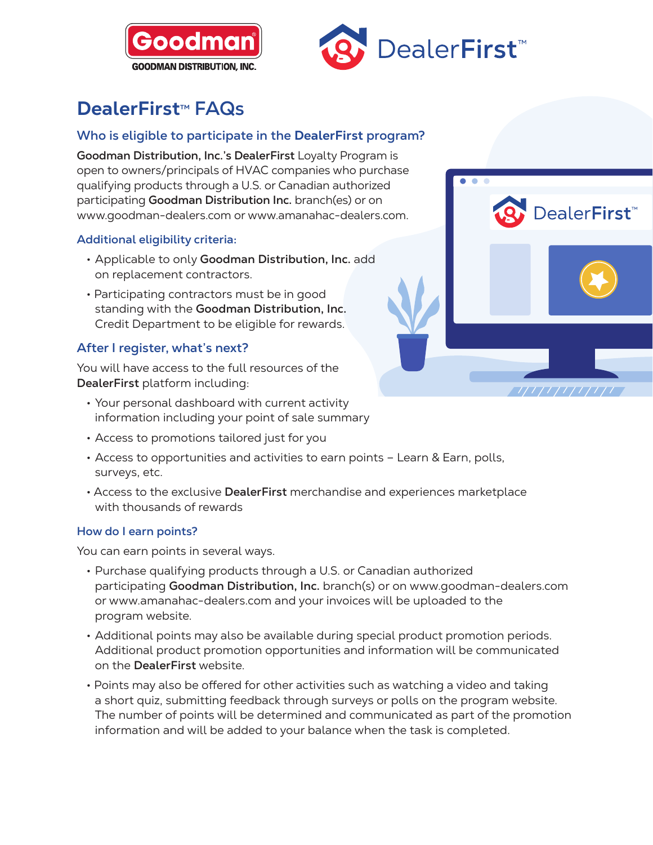



# **DealerFirst<sup>™</sup> FAQs**

# **Who is eligible to participate in the DealerFirst program?**

**Goodman Distribution, Inc.'s DealerFirst** Loyalty Program is open to owners/principals of HVAC companies who purchase qualifying products through a U.S. or Canadian authorized participating **Goodman Distribution Inc.** branch(es) or on www.goodman-dealers.com or www.amanahac-dealers.com.

## **Additional eligibility criteria:**

- Applicable to only **Goodman Distribution, Inc.** add on replacement contractors.
- Participating contractors must be in good standing with the **Goodman Distribution, Inc.** Credit Department to be eligible for rewards.

## **After I register, what's next?**

You will have access to the full resources of the **DealerFirst** platform including:

- Your personal dashboard with current activity information including your point of sale summary
- Access to promotions tailored just for you
- Access to opportunities and activities to earn points Learn & Earn, polls, surveys, etc.
- Access to the exclusive **DealerFirst** merchandise and experiences marketplace with thousands of rewards

#### **How do I earn points?**

You can earn points in several ways.

- Purchase qualifying products through a U.S. or Canadian authorized participating **Goodman Distribution, Inc.** branch(s) or on www.goodman-dealers.com or www.amanahac-dealers.com and your invoices will be uploaded to the program website.
- Additional points may also be available during special product promotion periods. Additional product promotion opportunities and information will be communicated on the **DealerFirst** website.
- Points may also be offered for other activities such as watching a video and taking a short quiz, submitting feedback through surveys or polls on the program website. The number of points will be determined and communicated as part of the promotion information and will be added to your balance when the task is completed.